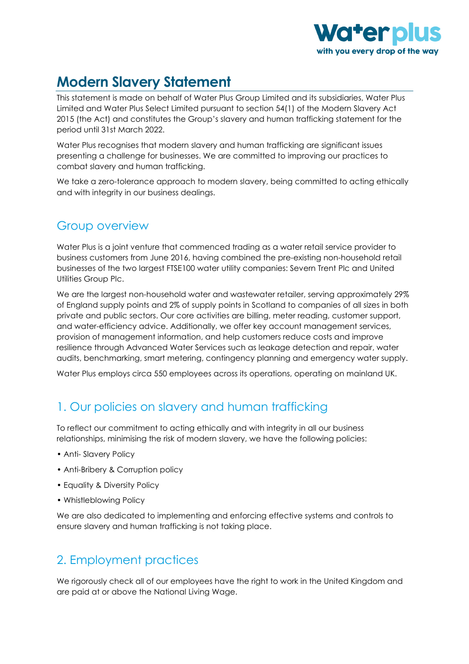

# **Modern Slavery Statement**

This statement is made on behalf of Water Plus Group Limited and its subsidiaries, Water Plus Limited and Water Plus Select Limited pursuant to section 54(1) of the Modern Slavery Act 2015 (the Act) and constitutes the Group's slavery and human trafficking statement for the period until 31st March 2022.

Water Plus recognises that modern slavery and human trafficking are significant issues presenting a challenge for businesses. We are committed to improving our practices to combat slavery and human trafficking.

We take a zero-tolerance approach to modern slavery, being committed to acting ethically and with integrity in our business dealings.

#### Group overview

Water Plus is a joint venture that commenced trading as a water retail service provider to business customers from June 2016, having combined the pre-existing non-household retail businesses of the two largest FTSE100 water utility companies: Severn Trent Plc and United Utilities Group Plc.

We are the largest non-household water and wastewater retailer, serving approximately 29% of England supply points and 2% of supply points in Scotland to companies of all sizes in both private and public sectors. Our core activities are billing, meter reading, customer support, and water-efficiency advice. Additionally, we offer key account management services, provision of management information, and help customers reduce costs and improve resilience through Advanced Water Services such as leakage detection and repair, water audits, benchmarking, smart metering, contingency planning and emergency water supply.

Water Plus employs circa 550 employees across its operations, operating on mainland UK.

#### 1. Our policies on slavery and human trafficking

To reflect our commitment to acting ethically and with integrity in all our business relationships, minimising the risk of modern slavery, we have the following policies:

- Anti- Slavery Policy
- Anti-Bribery & Corruption policy
- Equality & Diversity Policy
- Whistleblowing Policy

We are also dedicated to implementing and enforcing effective systems and controls to ensure slavery and human trafficking is not taking place.

#### 2. Employment practices

We rigorously check all of our employees have the right to work in the United Kingdom and are paid at or above the National Living Wage.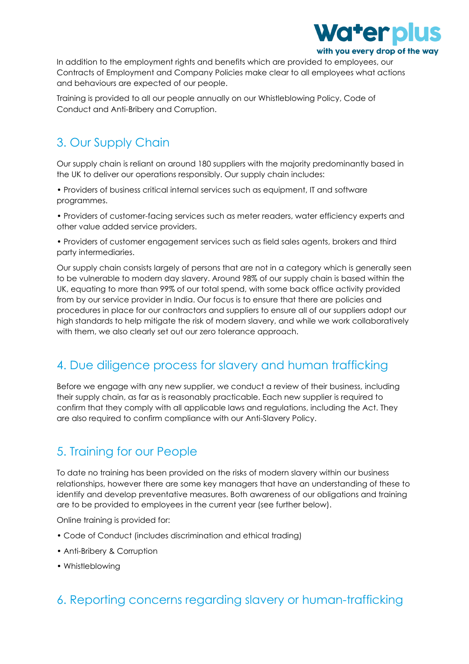

In addition to the employment rights and benefits which are provided to employees, our Contracts of Employment and Company Policies make clear to all employees what actions and behaviours are expected of our people.

Training is provided to all our people annually on our Whistleblowing Policy, Code of Conduct and Anti-Bribery and Corruption.

### 3. Our Supply Chain

Our supply chain is reliant on around 180 suppliers with the majority predominantly based in the UK to deliver our operations responsibly. Our supply chain includes:

• Providers of business critical internal services such as equipment, IT and software programmes.

• Providers of customer-facing services such as meter readers, water efficiency experts and other value added service providers.

• Providers of customer engagement services such as field sales agents, brokers and third party intermediaries.

Our supply chain consists largely of persons that are not in a category which is generally seen to be vulnerable to modern day slavery. Around 98% of our supply chain is based within the UK, equating to more than 99% of our total spend, with some back office activity provided from by our service provider in India. Our focus is to ensure that there are policies and procedures in place for our contractors and suppliers to ensure all of our suppliers adopt our high standards to help mitigate the risk of modern slavery, and while we work collaboratively with them, we also clearly set out our zero tolerance approach.

#### 4. Due diligence process for slavery and human trafficking

Before we engage with any new supplier, we conduct a review of their business, including their supply chain, as far as is reasonably practicable. Each new supplier is required to confirm that they comply with all applicable laws and regulations, including the Act. They are also required to confirm compliance with our Anti-Slavery Policy.

#### 5. Training for our People

To date no training has been provided on the risks of modern slavery within our business relationships, however there are some key managers that have an understanding of these to identify and develop preventative measures. Both awareness of our obligations and training are to be provided to employees in the current year (see further below).

Online training is provided for:

- Code of Conduct (includes discrimination and ethical trading)
- Anti-Bribery & Corruption
- Whistleblowing

#### 6. Reporting concerns regarding slavery or human-trafficking